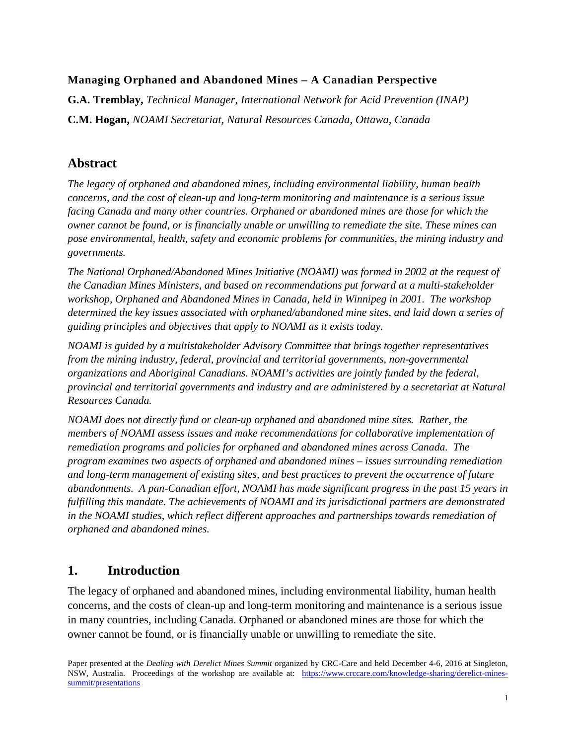#### **Managing Orphaned and Abandoned Mines – A Canadian Perspective**

**G.A. Tremblay,** *Technical Manager, International Network for Acid Prevention (INAP)* **C.M. Hogan,** *NOAMI Secretariat, Natural Resources Canada, Ottawa, Canada*

## **Abstract**

*The legacy of orphaned and abandoned mines, including environmental liability, human health concerns, and the cost of clean-up and long-term monitoring and maintenance is a serious issue facing Canada and many other countries. Orphaned or abandoned mines are those for which the owner cannot be found, or is financially unable or unwilling to remediate the site. These mines can pose environmental, health, safety and economic problems for communities, the mining industry and governments.*

*The National Orphaned/Abandoned Mines Initiative (NOAMI) was formed in 2002 at the request of the Canadian Mines Ministers, and based on recommendations put forward at a multi-stakeholder workshop, Orphaned and Abandoned Mines in Canada, held in Winnipeg in 2001. The workshop determined the key issues associated with orphaned/abandoned mine sites, and laid down a series of guiding principles and objectives that apply to NOAMI as it exists today.*

*NOAMI is guided by a multistakeholder Advisory Committee that brings together representatives from the mining industry, federal, provincial and territorial governments, non-governmental organizations and Aboriginal Canadians. NOAMI's activities are jointly funded by the federal, provincial and territorial governments and industry and are administered by a secretariat at Natural Resources Canada.* 

*NOAMI does not directly fund or clean-up orphaned and abandoned mine sites. Rather, the members of NOAMI assess issues and make recommendations for collaborative implementation of remediation programs and policies for orphaned and abandoned mines across Canada. The program examines two aspects of orphaned and abandoned mines – issues surrounding remediation and long-term management of existing sites, and best practices to prevent the occurrence of future abandonments. A pan-Canadian effort, NOAMI has made significant progress in the past 15 years in fulfilling this mandate. The achievements of NOAMI and its jurisdictional partners are demonstrated in the NOAMI studies, which reflect different approaches and partnerships towards remediation of orphaned and abandoned mines.* 

## **1. Introduction**

The legacy of orphaned and abandoned mines, including environmental liability, human health concerns, and the costs of clean-up and long-term monitoring and maintenance is a serious issue in many countries, including Canada. Orphaned or abandoned mines are those for which the owner cannot be found, or is financially unable or unwilling to remediate the site.

Paper presented at the *Dealing with Derelict Mines Summit* organized by CRC-Care and held December 4-6, 2016 at Singleton, NSW, Australia. Proceedings of the workshop are available at: [https://www.crccare.com/knowledge-sharing/derelict-mines](https://www.crccare.com/knowledge-sharing/derelict-mines-summit/presentations)[summit/presentations](https://www.crccare.com/knowledge-sharing/derelict-mines-summit/presentations)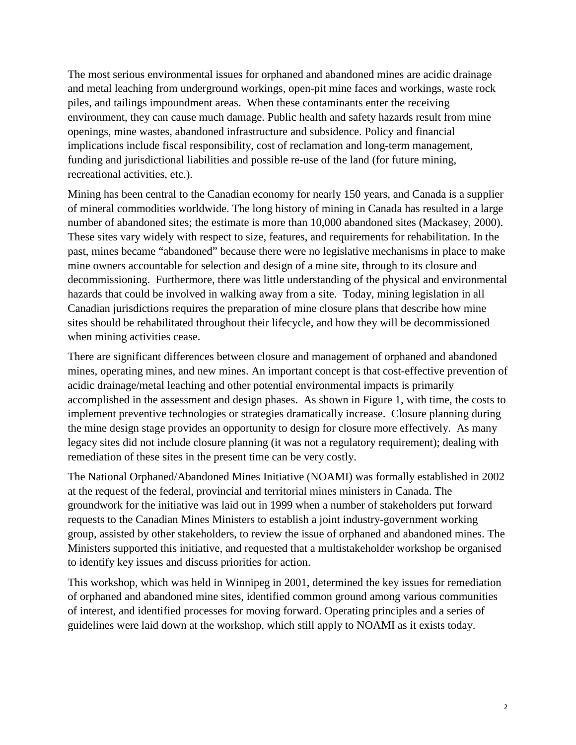The most serious environmental issues for orphaned and abandoned mines are acidic drainage and metal leaching from underground workings, open-pit mine faces and workings, waste rock piles, and tailings impoundment areas. When these contaminants enter the receiving environment, they can cause much damage. Public health and safety hazards result from mine openings, mine wastes, abandoned infrastructure and subsidence. Policy and financial implications include fiscal responsibility, cost of reclamation and long-term management, funding and jurisdictional liabilities and possible re-use of the land (for future mining, recreational activities, etc.).

Mining has been central to the Canadian economy for nearly 150 years, and Canada is a supplier of mineral commodities worldwide. The long history of mining in Canada has resulted in a large number of abandoned sites; the estimate is more than 10,000 abandoned sites (Mackasey, 2000). These sites vary widely with respect to size, features, and requirements for rehabilitation. In the past, mines became "abandoned" because there were no legislative mechanisms in place to make mine owners accountable for selection and design of a mine site, through to its closure and decommissioning. Furthermore, there was little understanding of the physical and environmental hazards that could be involved in walking away from a site. Today, mining legislation in all Canadian jurisdictions requires the preparation of mine closure plans that describe how mine sites should be rehabilitated throughout their lifecycle, and how they will be decommissioned when mining activities cease.

There are significant differences between closure and management of orphaned and abandoned mines, operating mines, and new mines. An important concept is that cost-effective prevention of acidic drainage/metal leaching and other potential environmental impacts is primarily accomplished in the assessment and design phases. As shown in Figure 1, with time, the costs to implement preventive technologies or strategies dramatically increase. Closure planning during the mine design stage provides an opportunity to design for closure more effectively. As many legacy sites did not include closure planning (it was not a regulatory requirement); dealing with remediation of these sites in the present time can be very costly.

The National Orphaned/Abandoned Mines Initiative (NOAMI) was formally established in 2002 at the request of the federal, provincial and territorial mines ministers in Canada. The groundwork for the initiative was laid out in 1999 when a number of stakeholders put forward requests to the Canadian Mines Ministers to establish a joint industry-government working group, assisted by other stakeholders, to review the issue of orphaned and abandoned mines. The Ministers supported this initiative, and requested that a multistakeholder workshop be organised to identify key issues and discuss priorities for action.

This workshop, which was held in Winnipeg in 2001, determined the key issues for remediation of orphaned and abandoned mine sites, identified common ground among various communities of interest, and identified processes for moving forward. Operating principles and a series of guidelines were laid down at the workshop, which still apply to NOAMI as it exists today.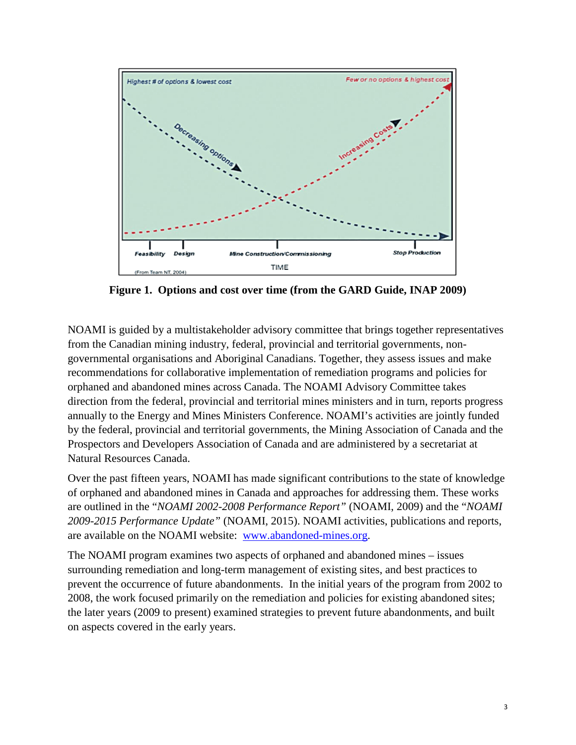

**Figure 1. Options and cost over time (from the GARD Guide, INAP 2009)**

NOAMI is guided by a multistakeholder advisory committee that brings together representatives from the Canadian mining industry, federal, provincial and territorial governments, nongovernmental organisations and Aboriginal Canadians. Together, they assess issues and make recommendations for collaborative implementation of remediation programs and policies for orphaned and abandoned mines across Canada. The NOAMI Advisory Committee takes direction from the federal, provincial and territorial mines ministers and in turn, reports progress annually to the Energy and Mines Ministers Conference. NOAMI's activities are jointly funded by the federal, provincial and territorial governments, the Mining Association of Canada and the Prospectors and Developers Association of Canada and are administered by a secretariat at Natural Resources Canada.

Over the past fifteen years, NOAMI has made significant contributions to the state of knowledge of orphaned and abandoned mines in Canada and approaches for addressing them. These works are outlined in the "*NOAMI 2002-2008 Performance Report"* (NOAMI, 2009) and the "*NOAMI 2009-2015 Performance Update"* (NOAMI, 2015). NOAMI activities, publications and reports, are available on the NOAMI website: [www.abandoned-mines.org.](http://www.abandoned-mines.org/)

The NOAMI program examines two aspects of orphaned and abandoned mines – issues surrounding remediation and long-term management of existing sites, and best practices to prevent the occurrence of future abandonments. In the initial years of the program from 2002 to 2008, the work focused primarily on the remediation and policies for existing abandoned sites; the later years (2009 to present) examined strategies to prevent future abandonments, and built on aspects covered in the early years.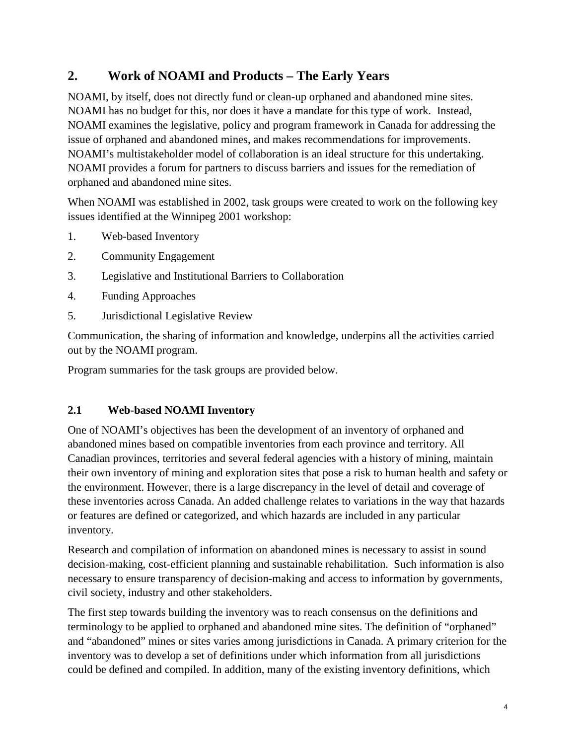# **2. Work of NOAMI and Products – The Early Years**

NOAMI, by itself, does not directly fund or clean-up orphaned and abandoned mine sites. NOAMI has no budget for this, nor does it have a mandate for this type of work. Instead, NOAMI examines the legislative, policy and program framework in Canada for addressing the issue of orphaned and abandoned mines, and makes recommendations for improvements. NOAMI's multistakeholder model of collaboration is an ideal structure for this undertaking. NOAMI provides a forum for partners to discuss barriers and issues for the remediation of orphaned and abandoned mine sites.

When NOAMI was established in 2002, task groups were created to work on the following key issues identified at the Winnipeg 2001 workshop:

- 1. Web-based Inventory
- 2. Community Engagement
- 3. Legislative and Institutional Barriers to Collaboration
- 4. Funding Approaches
- 5. Jurisdictional Legislative Review

Communication, the sharing of information and knowledge, underpins all the activities carried out by the NOAMI program.

Program summaries for the task groups are provided below.

#### **2.1 Web-based NOAMI Inventory**

One of NOAMI's objectives has been the development of an inventory of orphaned and abandoned mines based on compatible inventories from each province and territory. All Canadian provinces, territories and several federal agencies with a history of mining, maintain their own inventory of mining and exploration sites that pose a risk to human health and safety or the environment. However, there is a large discrepancy in the level of detail and coverage of these inventories across Canada. An added challenge relates to variations in the way that hazards or features are defined or categorized, and which hazards are included in any particular inventory.

Research and compilation of information on abandoned mines is necessary to assist in sound decision-making, cost-efficient planning and sustainable rehabilitation. Such information is also necessary to ensure transparency of decision-making and access to information by governments, civil society, industry and other stakeholders.

The first step towards building the inventory was to reach consensus on the definitions and terminology to be applied to orphaned and abandoned mine sites. The definition of "orphaned" and "abandoned" mines or sites varies among jurisdictions in Canada. A primary criterion for the inventory was to develop a set of definitions under which information from all jurisdictions could be defined and compiled. In addition, many of the existing inventory definitions, which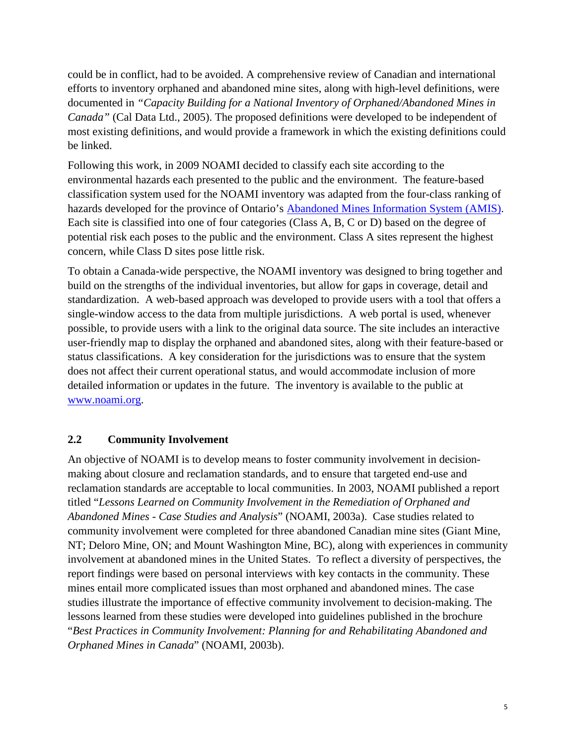could be in conflict, had to be avoided. A comprehensive review of Canadian and international efforts to inventory orphaned and abandoned mine sites, along with high-level definitions, were documented in *"Capacity Building for a National Inventory of Orphaned/Abandoned Mines in Canada"* (Cal Data Ltd., 2005). The proposed definitions were developed to be independent of most existing definitions, and would provide a framework in which the existing definitions could be linked.

Following this work, in 2009 NOAMI decided to classify each site according to the environmental hazards each presented to the public and the environment. The feature-based classification system used for the NOAMI inventory was adapted from the four-class ranking of hazards developed for the province of Ontario's [Abandoned Mines Information System \(AMIS\).](https://www.mndm.gov.on.ca/en/mines-and-minerals/applications/ogsearth/abandoned-mines) Each site is classified into one of four categories (Class A, B, C or D) based on the degree of potential risk each poses to the public and the environment. Class A sites represent the highest concern, while Class D sites pose little risk.

To obtain a Canada-wide perspective, the NOAMI inventory was designed to bring together and build on the strengths of the individual inventories, but allow for gaps in coverage, detail and standardization. A web-based approach was developed to provide users with a tool that offers a single-window access to the data from multiple jurisdictions. A web portal is used, whenever possible, to provide users with a link to the original data source. The site includes an interactive user-friendly map to display the orphaned and abandoned sites, along with their feature-based or status classifications. A key consideration for the jurisdictions was to ensure that the system does not affect their current operational status, and would accommodate inclusion of more detailed information or updates in the future. The inventory is available to the public at [www.noami.org.](http://www.noami.org/)

#### **2.2 Community Involvement**

An objective of NOAMI is to develop means to foster community involvement in decisionmaking about closure and reclamation standards, and to ensure that targeted end-use and reclamation standards are acceptable to local communities. In 2003, NOAMI published a report titled "*Lessons Learned on Community Involvement in the Remediation of Orphaned and Abandoned Mines - Case Studies and Analysis*" (NOAMI, 2003a). Case studies related to community involvement were completed for three abandoned Canadian mine sites (Giant Mine, NT; Deloro Mine, ON; and Mount Washington Mine, BC), along with experiences in community involvement at abandoned mines in the United States. To reflect a diversity of perspectives, the report findings were based on personal interviews with key contacts in the community. These mines entail more complicated issues than most orphaned and abandoned mines. The case studies illustrate the importance of effective community involvement to decision-making. The lessons learned from these studies were developed into guidelines published in the brochure "*Best Practices in Community Involvement: Planning for and Rehabilitating Abandoned and Orphaned Mines in Canada*" (NOAMI, 2003b).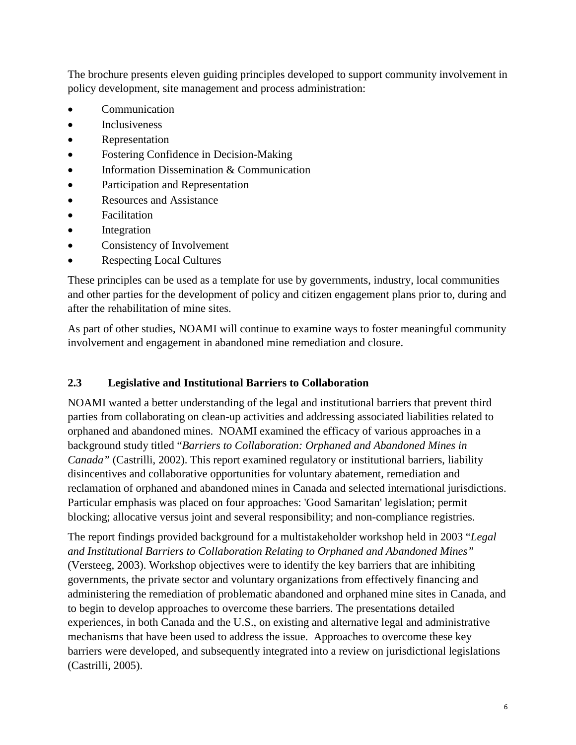The brochure presents eleven guiding principles developed to support community involvement in policy development, site management and process administration:

- Communication
- Inclusiveness
- Representation
- Fostering Confidence in Decision-Making
- Information Dissemination & Communication
- Participation and Representation
- Resources and Assistance
- Facilitation
- Integration
- Consistency of Involvement
- Respecting Local Cultures

These principles can be used as a template for use by governments, industry, local communities and other parties for the development of policy and citizen engagement plans prior to, during and after the rehabilitation of mine sites.

As part of other studies, NOAMI will continue to examine ways to foster meaningful community involvement and engagement in abandoned mine remediation and closure.

#### **2.3 Legislative and Institutional Barriers to Collaboration**

NOAMI wanted a better understanding of the legal and institutional barriers that prevent third parties from collaborating on clean-up activities and addressing associated liabilities related to orphaned and abandoned mines. NOAMI examined the efficacy of various approaches in a background study titled "*Barriers to Collaboration: Orphaned and Abandoned Mines in Canada"* (Castrilli, 2002). This report examined regulatory or institutional barriers, liability disincentives and collaborative opportunities for voluntary abatement, remediation and reclamation of orphaned and abandoned mines in Canada and selected international jurisdictions. Particular emphasis was placed on four approaches: 'Good Samaritan' legislation; permit blocking; allocative versus joint and several responsibility; and non-compliance registries.

The report findings provided background for a multistakeholder workshop held in 2003 "*Legal and Institutional Barriers to Collaboration Relating to Orphaned and Abandoned Mines"* (Versteeg, 2003). Workshop objectives were to identify the key barriers that are inhibiting governments, the private sector and voluntary organizations from effectively financing and administering the remediation of problematic abandoned and orphaned mine sites in Canada, and to begin to develop approaches to overcome these barriers. The presentations detailed experiences, in both Canada and the U.S., on existing and alternative legal and administrative mechanisms that have been used to address the issue. Approaches to overcome these key barriers were developed, and subsequently integrated into a review on jurisdictional legislations (Castrilli, 2005).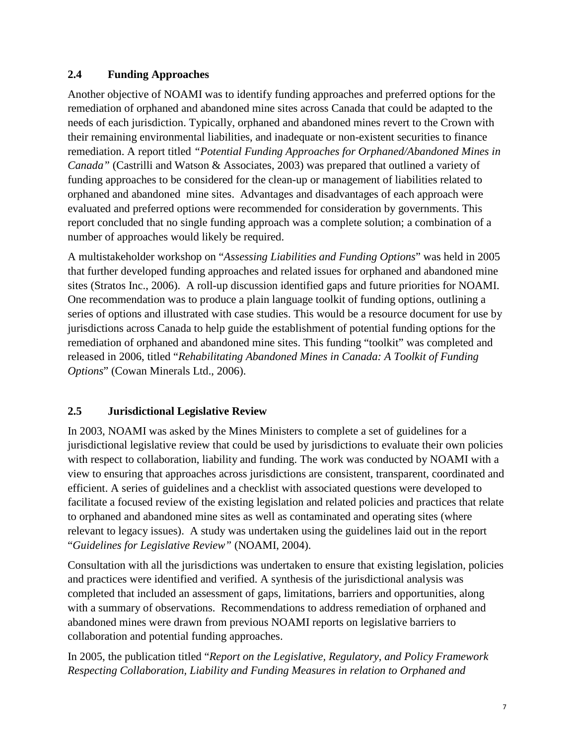#### **2.4 Funding Approaches**

Another objective of NOAMI was to identify funding approaches and preferred options for the remediation of orphaned and abandoned mine sites across Canada that could be adapted to the needs of each jurisdiction. Typically, orphaned and abandoned mines revert to the Crown with their remaining environmental liabilities, and inadequate or non-existent securities to finance remediation. A report titled *"Potential Funding Approaches for Orphaned/Abandoned Mines in Canada"* (Castrilli and Watson & Associates, 2003) was prepared that outlined a variety of funding approaches to be considered for the clean-up or management of liabilities related to orphaned and abandoned mine sites. Advantages and disadvantages of each approach were evaluated and preferred options were recommended for consideration by governments. This report concluded that no single funding approach was a complete solution; a combination of a number of approaches would likely be required.

A multistakeholder workshop on "*Assessing Liabilities and Funding Options*" was held in 2005 that further developed funding approaches and related issues for orphaned and abandoned mine sites (Stratos Inc., 2006). A roll-up discussion identified gaps and future priorities for NOAMI. One recommendation was to produce a plain language toolkit of funding options, outlining a series of options and illustrated with case studies. This would be a resource document for use by jurisdictions across Canada to help guide the establishment of potential funding options for the remediation of orphaned and abandoned mine sites. This funding "toolkit" was completed and released in 2006, titled "*Rehabilitating Abandoned Mines in Canada: A Toolkit of Funding Options*" (Cowan Minerals Ltd., 2006).

#### **2.5 Jurisdictional Legislative Review**

In 2003, NOAMI was asked by the Mines Ministers to complete a set of guidelines for a jurisdictional legislative review that could be used by jurisdictions to evaluate their own policies with respect to collaboration, liability and funding. The work was conducted by NOAMI with a view to ensuring that approaches across jurisdictions are consistent, transparent, coordinated and efficient. A series of guidelines and a checklist with associated questions were developed to facilitate a focused review of the existing legislation and related policies and practices that relate to orphaned and abandoned mine sites as well as contaminated and operating sites (where relevant to legacy issues). A study was undertaken using the guidelines laid out in the report "*Guidelines for Legislative Review"* (NOAMI, 2004).

Consultation with all the jurisdictions was undertaken to ensure that existing legislation, policies and practices were identified and verified. A synthesis of the jurisdictional analysis was completed that included an assessment of gaps, limitations, barriers and opportunities, along with a summary of observations. Recommendations to address remediation of orphaned and abandoned mines were drawn from previous NOAMI reports on legislative barriers to collaboration and potential funding approaches.

In 2005, the publication titled "*Report on the Legislative, Regulatory, and Policy Framework Respecting Collaboration, Liability and Funding Measures in relation to Orphaned and*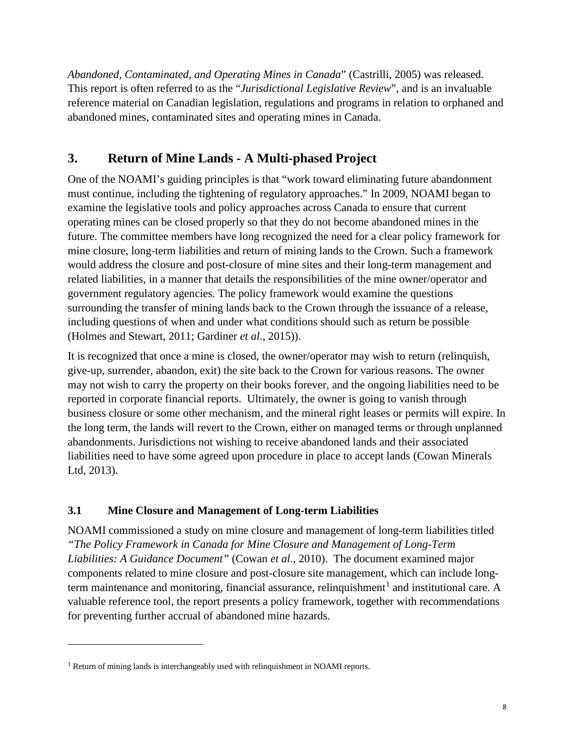*Abandoned, Contaminated, and Operating Mines in Canada*" (Castrilli, 2005) was released. This report is often referred to as the "*Jurisdictional Legislative Review*", and is an invaluable reference material on Canadian legislation, regulations and programs in relation to orphaned and abandoned mines, contaminated sites and operating mines in Canada.

# **3. Return of Mine Lands - A Multi-phased Project**

One of the NOAMI's guiding principles is that "work toward eliminating future abandonment must continue, including the tightening of regulatory approaches." In 2009, NOAMI began to examine the legislative tools and policy approaches across Canada to ensure that current operating mines can be closed properly so that they do not become abandoned mines in the future. The committee members have long recognized the need for a clear policy framework for mine closure, long-term liabilities and return of mining lands to the Crown. Such a framework would address the closure and post-closure of mine sites and their long-term management and related liabilities, in a manner that details the responsibilities of the mine owner/operator and government regulatory agencies. The policy framework would examine the questions surrounding the transfer of mining lands back to the Crown through the issuance of a release, including questions of when and under what conditions should such as return be possible (Holmes and Stewart, 2011; Gardiner *et al*., 2015)).

It is recognized that once a mine is closed, the owner/operator may wish to return (relinquish, give-up, surrender, abandon, exit) the site back to the Crown for various reasons. The owner may not wish to carry the property on their books forever, and the ongoing liabilities need to be reported in corporate financial reports. Ultimately, the owner is going to vanish through business closure or some other mechanism, and the mineral right leases or permits will expire. In the long term, the lands will revert to the Crown, either on managed terms or through unplanned abandonments. Jurisdictions not wishing to receive abandoned lands and their associated liabilities need to have some agreed upon procedure in place to accept lands (Cowan Minerals Ltd, 2013).

## **3.1 Mine Closure and Management of Long-term Liabilities**

NOAMI commissioned a study on mine closure and management of long-term liabilities titled *"The Policy Framework in Canada for Mine Closure and Management of Long-Term Liabilities: A Guidance Document"* (Cowan *et al.*, 2010). The document examined major components related to mine closure and post-closure site management, which can include long-term maintenance and monitoring, financial assurance, relinquishment<sup>[1](#page-7-0)</sup> and institutional care. A valuable reference tool, the report presents a policy framework, together with recommendations for preventing further accrual of abandoned mine hazards.

l

<span id="page-7-0"></span><sup>&</sup>lt;sup>1</sup> Return of mining lands is interchangeably used with relinquishment in NOAMI reports.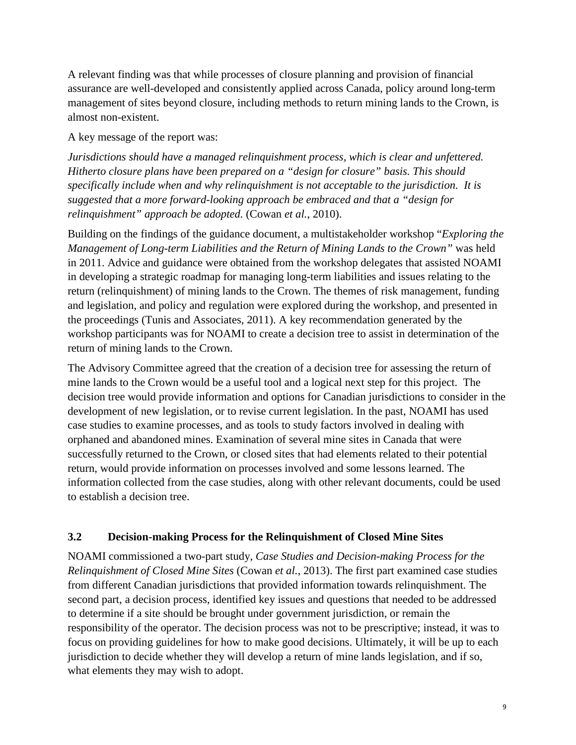A relevant finding was that while processes of closure planning and provision of financial assurance are well-developed and consistently applied across Canada, policy around long-term management of sites beyond closure, including methods to return mining lands to the Crown, is almost non-existent.

A key message of the report was:

*Jurisdictions should have a managed relinquishment process, which is clear and unfettered. Hitherto closure plans have been prepared on a "design for closure" basis. This should specifically include when and why relinquishment is not acceptable to the jurisdiction. It is suggested that a more forward-looking approach be embraced and that a "design for relinquishment" approach be adopted.* (Cowan *et al.*, 2010).

Building on the findings of the guidance document, a multistakeholder workshop "*Exploring the Management of Long-term Liabilities and the Return of Mining Lands to the Crown"* was held in 2011. Advice and guidance were obtained from the workshop delegates that assisted NOAMI in developing a strategic roadmap for managing long-term liabilities and issues relating to the return (relinquishment) of mining lands to the Crown. The themes of risk management, funding and legislation, and policy and regulation were explored during the workshop, and presented in the proceedings (Tunis and Associates, 2011). A key recommendation generated by the workshop participants was for NOAMI to create a decision tree to assist in determination of the return of mining lands to the Crown.

The Advisory Committee agreed that the creation of a decision tree for assessing the return of mine lands to the Crown would be a useful tool and a logical next step for this project. The decision tree would provide information and options for Canadian jurisdictions to consider in the development of new legislation, or to revise current legislation. In the past, NOAMI has used case studies to examine processes, and as tools to study factors involved in dealing with orphaned and abandoned mines. Examination of several mine sites in Canada that were successfully returned to the Crown, or closed sites that had elements related to their potential return, would provide information on processes involved and some lessons learned. The information collected from the case studies, along with other relevant documents, could be used to establish a decision tree.

#### **3.2 Decision-making Process for the Relinquishment of Closed Mine Sites**

NOAMI commissioned a two-part study, *Case Studies and Decision-making Process for the Relinquishment of Closed Mine Sites* (Cowan *et al.*, 2013). The first part examined case studies from different Canadian jurisdictions that provided information towards relinquishment. The second part, a decision process, identified key issues and questions that needed to be addressed to determine if a site should be brought under government jurisdiction, or remain the responsibility of the operator. The decision process was not to be prescriptive; instead, it was to focus on providing guidelines for how to make good decisions. Ultimately, it will be up to each jurisdiction to decide whether they will develop a return of mine lands legislation, and if so, what elements they may wish to adopt.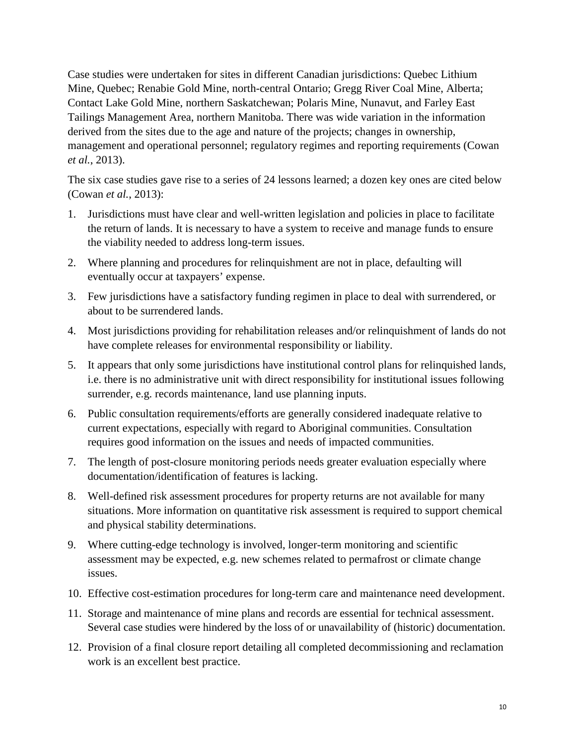Case studies were undertaken for sites in different Canadian jurisdictions: Quebec Lithium Mine, Quebec; Renabie Gold Mine, north-central Ontario; Gregg River Coal Mine, Alberta; Contact Lake Gold Mine, northern Saskatchewan; Polaris Mine, Nunavut, and Farley East Tailings Management Area, northern Manitoba. There was wide variation in the information derived from the sites due to the age and nature of the projects; changes in ownership, management and operational personnel; regulatory regimes and reporting requirements (Cowan *et al.*, 2013).

The six case studies gave rise to a series of 24 lessons learned; a dozen key ones are cited below (Cowan *et al.*, 2013):

- 1. Jurisdictions must have clear and well-written legislation and policies in place to facilitate the return of lands. It is necessary to have a system to receive and manage funds to ensure the viability needed to address long-term issues.
- 2. Where planning and procedures for relinquishment are not in place, defaulting will eventually occur at taxpayers' expense.
- 3. Few jurisdictions have a satisfactory funding regimen in place to deal with surrendered, or about to be surrendered lands.
- 4. Most jurisdictions providing for rehabilitation releases and/or relinquishment of lands do not have complete releases for environmental responsibility or liability.
- 5. It appears that only some jurisdictions have institutional control plans for relinquished lands, i.e. there is no administrative unit with direct responsibility for institutional issues following surrender, e.g. records maintenance, land use planning inputs.
- 6. Public consultation requirements/efforts are generally considered inadequate relative to current expectations, especially with regard to Aboriginal communities. Consultation requires good information on the issues and needs of impacted communities.
- 7. The length of post-closure monitoring periods needs greater evaluation especially where documentation/identification of features is lacking.
- 8. Well-defined risk assessment procedures for property returns are not available for many situations. More information on quantitative risk assessment is required to support chemical and physical stability determinations.
- 9. Where cutting-edge technology is involved, longer-term monitoring and scientific assessment may be expected, e.g. new schemes related to permafrost or climate change issues.
- 10. Effective cost-estimation procedures for long-term care and maintenance need development.
- 11. Storage and maintenance of mine plans and records are essential for technical assessment. Several case studies were hindered by the loss of or unavailability of (historic) documentation.
- 12. Provision of a final closure report detailing all completed decommissioning and reclamation work is an excellent best practice.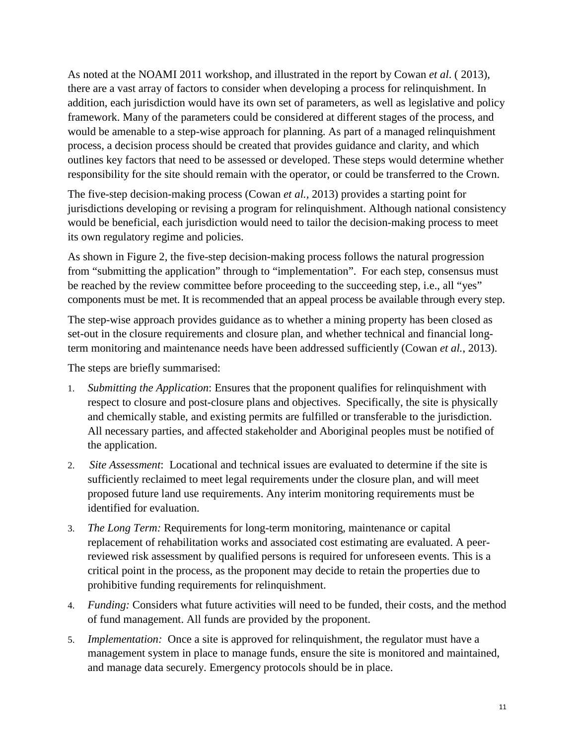As noted at the NOAMI 2011 workshop, and illustrated in the report by Cowan *et al*. ( 2013), there are a vast array of factors to consider when developing a process for relinquishment. In addition, each jurisdiction would have its own set of parameters, as well as legislative and policy framework. Many of the parameters could be considered at different stages of the process, and would be amenable to a step-wise approach for planning. As part of a managed relinquishment process, a decision process should be created that provides guidance and clarity, and which outlines key factors that need to be assessed or developed. These steps would determine whether responsibility for the site should remain with the operator, or could be transferred to the Crown.

The five-step decision-making process (Cowan *et al.,* 2013) provides a starting point for jurisdictions developing or revising a program for relinquishment. Although national consistency would be beneficial, each jurisdiction would need to tailor the decision-making process to meet its own regulatory regime and policies.

As shown in Figure 2, the five-step decision-making process follows the natural progression from "submitting the application" through to "implementation". For each step, consensus must be reached by the review committee before proceeding to the succeeding step, i.e., all "yes" components must be met. It is recommended that an appeal process be available through every step.

The step-wise approach provides guidance as to whether a mining property has been closed as set-out in the closure requirements and closure plan, and whether technical and financial longterm monitoring and maintenance needs have been addressed sufficiently (Cowan *et al.*, 2013).

The steps are briefly summarised:

- 1. *Submitting the Application*: Ensures that the proponent qualifies for relinquishment with respect to closure and post-closure plans and objectives. Specifically, the site is physically and chemically stable, and existing permits are fulfilled or transferable to the jurisdiction. All necessary parties, and affected stakeholder and Aboriginal peoples must be notified of the application.
- 2. *Site Assessment*: Locational and technical issues are evaluated to determine if the site is sufficiently reclaimed to meet legal requirements under the closure plan, and will meet proposed future land use requirements. Any interim monitoring requirements must be identified for evaluation.
- 3. *The Long Term:* Requirements for long-term monitoring, maintenance or capital replacement of rehabilitation works and associated cost estimating are evaluated. A peerreviewed risk assessment by qualified persons is required for unforeseen events. This is a critical point in the process, as the proponent may decide to retain the properties due to prohibitive funding requirements for relinquishment.
- 4. *Funding:* Considers what future activities will need to be funded, their costs, and the method of fund management. All funds are provided by the proponent.
- 5. *Implementation:* Once a site is approved for relinquishment, the regulator must have a management system in place to manage funds, ensure the site is monitored and maintained, and manage data securely. Emergency protocols should be in place.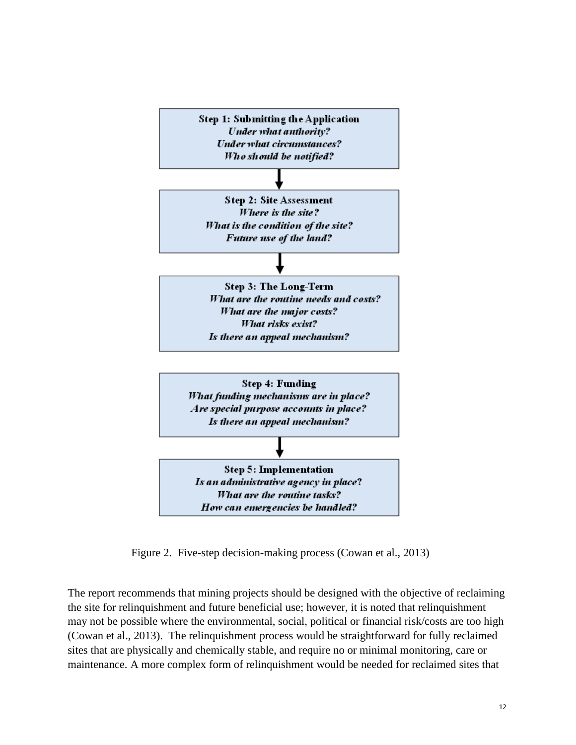

Figure 2. Five-step decision-making process (Cowan et al., 2013)

The report recommends that mining projects should be designed with the objective of reclaiming the site for relinquishment and future beneficial use; however, it is noted that relinquishment may not be possible where the environmental, social, political or financial risk/costs are too high (Cowan et al., 2013). The relinquishment process would be straightforward for fully reclaimed sites that are physically and chemically stable, and require no or minimal monitoring, care or maintenance. A more complex form of relinquishment would be needed for reclaimed sites that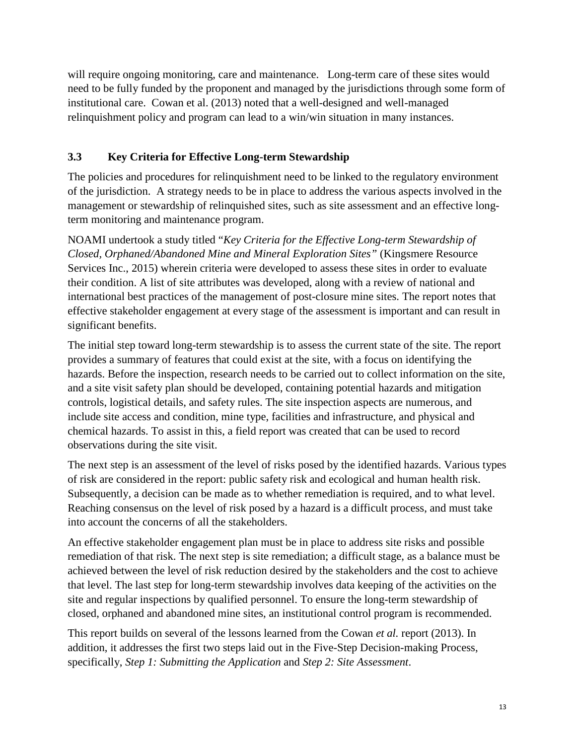will require ongoing monitoring, care and maintenance. Long-term care of these sites would need to be fully funded by the proponent and managed by the jurisdictions through some form of institutional care. Cowan et al. (2013) noted that a well-designed and well-managed relinquishment policy and program can lead to a win/win situation in many instances.

#### **3.3 Key Criteria for Effective Long-term Stewardship**

The policies and procedures for relinquishment need to be linked to the regulatory environment of the jurisdiction. A strategy needs to be in place to address the various aspects involved in the management or stewardship of relinquished sites, such as site assessment and an effective longterm monitoring and maintenance program.

NOAMI undertook a study titled "*Key Criteria for the Effective Long-term Stewardship of Closed, Orphaned/Abandoned Mine and Mineral Exploration Sites"* (Kingsmere Resource Services Inc., 2015) wherein criteria were developed to assess these sites in order to evaluate their condition. A list of site attributes was developed, along with a review of national and international best practices of the management of post-closure mine sites. The report notes that effective stakeholder engagement at every stage of the assessment is important and can result in significant benefits.

The initial step toward long-term stewardship is to assess the current state of the site. The report provides a summary of features that could exist at the site, with a focus on identifying the hazards. Before the inspection, research needs to be carried out to collect information on the site, and a site visit safety plan should be developed, containing potential hazards and mitigation controls, logistical details, and safety rules. The site inspection aspects are numerous, and include site access and condition, mine type, facilities and infrastructure, and physical and chemical hazards. To assist in this, a field report was created that can be used to record observations during the site visit.

The next step is an assessment of the level of risks posed by the identified hazards. Various types of risk are considered in the report: public safety risk and ecological and human health risk. Subsequently, a decision can be made as to whether remediation is required, and to what level. Reaching consensus on the level of risk posed by a hazard is a difficult process, and must take into account the concerns of all the stakeholders.

An effective stakeholder engagement plan must be in place to address site risks and possible remediation of that risk. The next step is site remediation; a difficult stage, as a balance must be achieved between the level of risk reduction desired by the stakeholders and the cost to achieve that level. The last step for long-term stewardship involves data keeping of the activities on the site and regular inspections by qualified personnel. To ensure the long-term stewardship of closed, orphaned and abandoned mine sites, an institutional control program is recommended.

This report builds on several of the lessons learned from the Cowan *et al.* report (2013). In addition, it addresses the first two steps laid out in the Five-Step Decision-making Process, specifically, *Step 1: Submitting the Application* and *Step 2: Site Assessment*.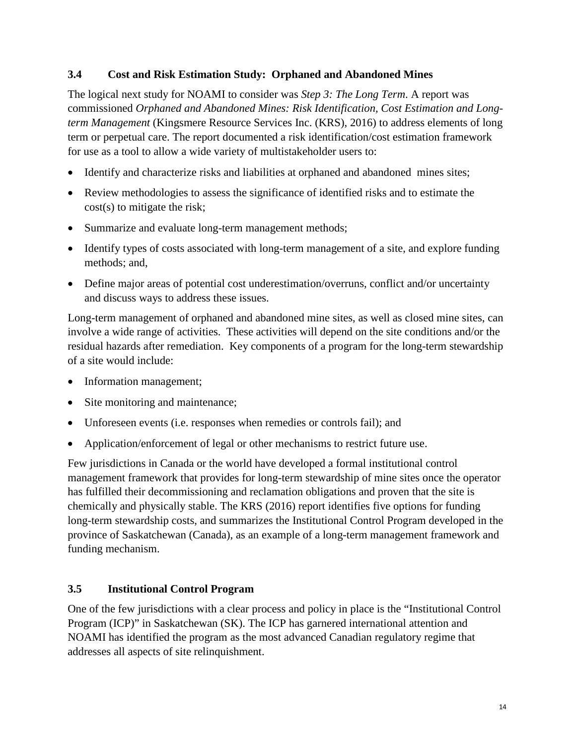#### **3.4 Cost and Risk Estimation Study: Orphaned and Abandoned Mines**

The logical next study for NOAMI to consider was *Step 3: The Long Term*. A report was commissioned *Orphaned and Abandoned Mines: Risk Identification, Cost Estimation and Longterm Management* (Kingsmere Resource Services Inc. (KRS), 2016) to address elements of long term or perpetual care. The report documented a risk identification/cost estimation framework for use as a tool to allow a wide variety of multistakeholder users to:

- Identify and characterize risks and liabilities at orphaned and abandoned mines sites;
- Review methodologies to assess the significance of identified risks and to estimate the cost(s) to mitigate the risk;
- Summarize and evaluate long-term management methods;
- Identify types of costs associated with long-term management of a site, and explore funding methods; and,
- Define major areas of potential cost underestimation/overruns, conflict and/or uncertainty and discuss ways to address these issues.

Long-term management of orphaned and abandoned mine sites, as well as closed mine sites, can involve a wide range of activities. These activities will depend on the site conditions and/or the residual hazards after remediation. Key components of a program for the long-term stewardship of a site would include:

- Information management;
- Site monitoring and maintenance;
- Unforeseen events (i.e. responses when remedies or controls fail); and
- Application/enforcement of legal or other mechanisms to restrict future use.

Few jurisdictions in Canada or the world have developed a formal institutional control management framework that provides for long-term stewardship of mine sites once the operator has fulfilled their decommissioning and reclamation obligations and proven that the site is chemically and physically stable. The KRS (2016) report identifies five options for funding long-term stewardship costs, and summarizes the Institutional Control Program developed in the province of Saskatchewan (Canada), as an example of a long-term management framework and funding mechanism.

#### **3.5 Institutional Control Program**

One of the few jurisdictions with a clear process and policy in place is the "Institutional Control Program (ICP)" in Saskatchewan (SK). The ICP has garnered international attention and NOAMI has identified the program as the most advanced Canadian regulatory regime that addresses all aspects of site relinquishment.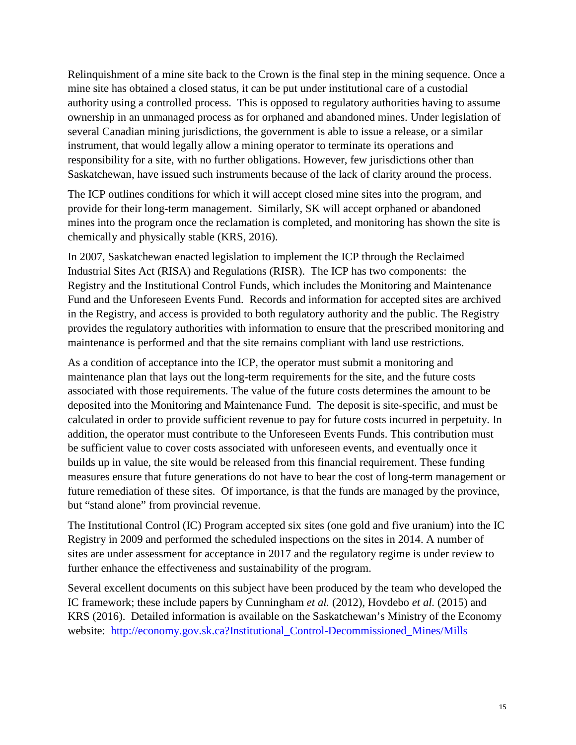Relinquishment of a mine site back to the Crown is the final step in the mining sequence. Once a mine site has obtained a closed status, it can be put under institutional care of a custodial authority using a controlled process. This is opposed to regulatory authorities having to assume ownership in an unmanaged process as for orphaned and abandoned mines. Under legislation of several Canadian mining jurisdictions, the government is able to issue a release, or a similar instrument, that would legally allow a mining operator to terminate its operations and responsibility for a site, with no further obligations. However, few jurisdictions other than Saskatchewan, have issued such instruments because of the lack of clarity around the process.

The ICP outlines conditions for which it will accept closed mine sites into the program, and provide for their long-term management. Similarly, SK will accept orphaned or abandoned mines into the program once the reclamation is completed, and monitoring has shown the site is chemically and physically stable (KRS, 2016).

In 2007, Saskatchewan enacted legislation to implement the ICP through the Reclaimed Industrial Sites Act (RISA) and Regulations (RISR). The ICP has two components: the Registry and the Institutional Control Funds, which includes the Monitoring and Maintenance Fund and the Unforeseen Events Fund. Records and information for accepted sites are archived in the Registry, and access is provided to both regulatory authority and the public. The Registry provides the regulatory authorities with information to ensure that the prescribed monitoring and maintenance is performed and that the site remains compliant with land use restrictions.

As a condition of acceptance into the ICP, the operator must submit a monitoring and maintenance plan that lays out the long-term requirements for the site, and the future costs associated with those requirements. The value of the future costs determines the amount to be deposited into the Monitoring and Maintenance Fund. The deposit is site-specific, and must be calculated in order to provide sufficient revenue to pay for future costs incurred in perpetuity. In addition, the operator must contribute to the Unforeseen Events Funds. This contribution must be sufficient value to cover costs associated with unforeseen events, and eventually once it builds up in value, the site would be released from this financial requirement. These funding measures ensure that future generations do not have to bear the cost of long-term management or future remediation of these sites. Of importance, is that the funds are managed by the province, but "stand alone" from provincial revenue.

The Institutional Control (IC) Program accepted six sites (one gold and five uranium) into the IC Registry in 2009 and performed the scheduled inspections on the sites in 2014. A number of sites are under assessment for acceptance in 2017 and the regulatory regime is under review to further enhance the effectiveness and sustainability of the program.

Several excellent documents on this subject have been produced by the team who developed the IC framework; these include papers by Cunningham *et al.* (2012), Hovdebo *et al.* (2015) and KRS (2016). Detailed information is available on the Saskatchewan's Ministry of the Economy website: [http://economy.gov.sk.ca?Institutional\\_Control-Decommissioned\\_Mines/Mills](http://economy.gov.sk.ca/?Institutional_Control-Decommissioned_Mines/Mills)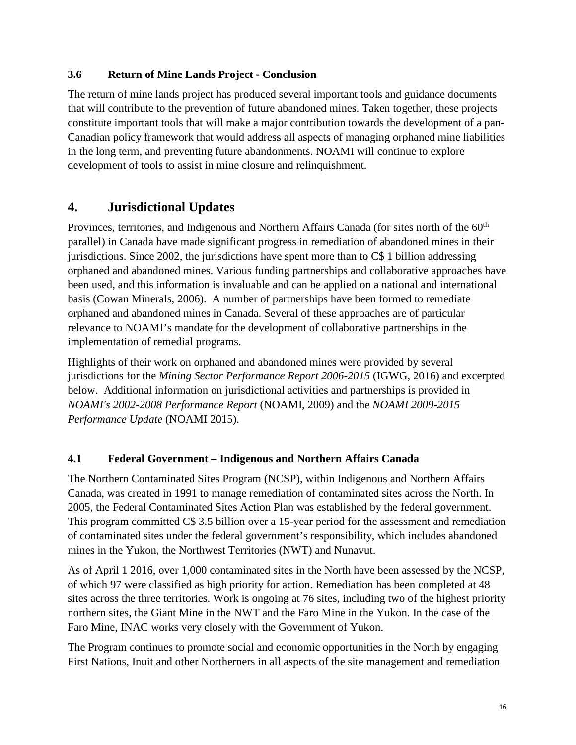#### **3.6 Return of Mine Lands Project - Conclusion**

The return of mine lands project has produced several important tools and guidance documents that will contribute to the prevention of future abandoned mines. Taken together, these projects constitute important tools that will make a major contribution towards the development of a pan-Canadian policy framework that would address all aspects of managing orphaned mine liabilities in the long term, and preventing future abandonments. NOAMI will continue to explore development of tools to assist in mine closure and relinquishment.

# **4. Jurisdictional Updates**

Provinces, territories, and Indigenous and Northern Affairs Canada (for sites north of the 60<sup>th</sup> parallel) in Canada have made significant progress in remediation of abandoned mines in their jurisdictions. Since 2002, the jurisdictions have spent more than to C\$ 1 billion addressing orphaned and abandoned mines. Various funding partnerships and collaborative approaches have been used, and this information is invaluable and can be applied on a national and international basis (Cowan Minerals, 2006). A number of partnerships have been formed to remediate orphaned and abandoned mines in Canada. Several of these approaches are of particular relevance to NOAMI's mandate for the development of collaborative partnerships in the implementation of remedial programs.

Highlights of their work on orphaned and abandoned mines were provided by several jurisdictions for the *Mining Sector Performance Report 2006-2015* (IGWG, 2016) and excerpted below. Additional information on jurisdictional activities and partnerships is provided in *NOAMI's 2002-2008 Performance Report* (NOAMI, 2009) and the *NOAMI 2009-2015 Performance Update* (NOAMI 2015).

#### **4.1 Federal Government – Indigenous and Northern Affairs Canada**

The Northern Contaminated Sites Program (NCSP), within Indigenous and Northern Affairs Canada, was created in 1991 to manage remediation of contaminated sites across the North. In 2005, the Federal Contaminated Sites Action Plan was established by the federal government. This program committed C\$ 3.5 billion over a 15-year period for the assessment and remediation of contaminated sites under the federal government's responsibility, which includes abandoned mines in the Yukon, the Northwest Territories (NWT) and Nunavut.

As of April 1 2016, over 1,000 contaminated sites in the North have been assessed by the NCSP, of which 97 were classified as high priority for action. Remediation has been completed at 48 sites across the three territories. Work is ongoing at 76 sites, including two of the highest priority northern sites, the Giant Mine in the NWT and the Faro Mine in the Yukon. In the case of the Faro Mine, INAC works very closely with the Government of Yukon.

The Program continues to promote social and economic opportunities in the North by engaging First Nations, Inuit and other Northerners in all aspects of the site management and remediation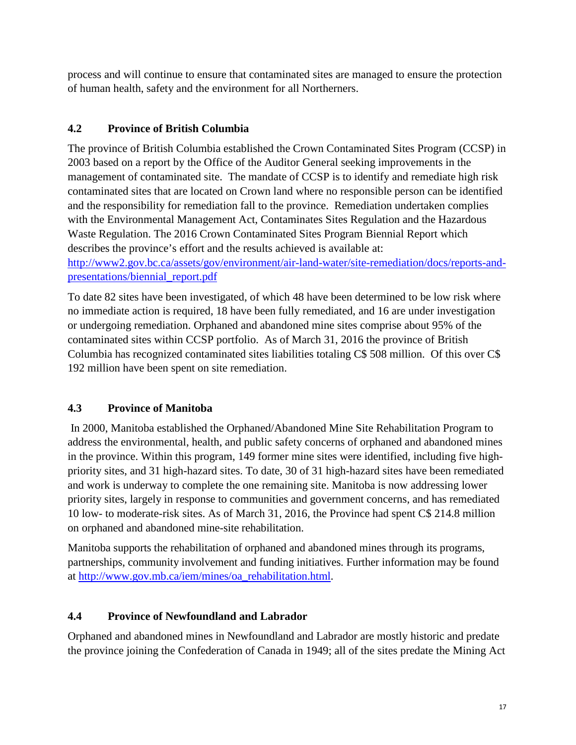process and will continue to ensure that contaminated sites are managed to ensure the protection of human health, safety and the environment for all Northerners.

## **4.2 Province of British Columbia**

The province of British Columbia established the Crown Contaminated Sites Program (CCSP) in 2003 based on a report by the Office of the Auditor General seeking improvements in the management of contaminated site. The mandate of CCSP is to identify and remediate high risk contaminated sites that are located on Crown land where no responsible person can be identified and the responsibility for remediation fall to the province. Remediation undertaken complies with the Environmental Management Act, Contaminates Sites Regulation and the Hazardous Waste Regulation. The 2016 Crown Contaminated Sites Program Biennial Report which describes the province's effort and the results achieved is available at: [http://www2.gov.bc.ca/assets/gov/environment/air-land-water/site-remediation/docs/reports-and-](http://www2.gov.bc.ca/assets/gov/environment/air-land-water/site-remediation/docs/reports-and-presentations/biennial_report.pdf)

#### [presentations/biennial\\_report.pdf](http://www2.gov.bc.ca/assets/gov/environment/air-land-water/site-remediation/docs/reports-and-presentations/biennial_report.pdf)

To date 82 sites have been investigated, of which 48 have been determined to be low risk where no immediate action is required, 18 have been fully remediated, and 16 are under investigation or undergoing remediation. Orphaned and abandoned mine sites comprise about 95% of the contaminated sites within CCSP portfolio. As of March 31, 2016 the province of British Columbia has recognized contaminated sites liabilities totaling C\$ 508 million. Of this over C\$ 192 million have been spent on site remediation.

## **4.3 Province of Manitoba**

In 2000, Manitoba established the Orphaned/Abandoned Mine Site Rehabilitation Program to address the environmental, health, and public safety concerns of orphaned and abandoned mines in the province. Within this program, 149 former mine sites were identified, including five highpriority sites, and 31 high-hazard sites. To date, 30 of 31 high-hazard sites have been remediated and work is underway to complete the one remaining site. Manitoba is now addressing lower priority sites, largely in response to communities and government concerns, and has remediated 10 low- to moderate-risk sites. As of March 31, 2016, the Province had spent C\$ 214.8 million on orphaned and abandoned mine-site rehabilitation.

Manitoba supports the rehabilitation of orphaned and abandoned mines through its programs, partnerships, community involvement and funding initiatives. Further information may be found at [http://www.gov.mb.ca/iem/mines/oa\\_rehabilitation.html.](http://www.gov.mb.ca/iem/mines/oa_rehabilitation.html)

## **4.4 Province of Newfoundland and Labrador**

Orphaned and abandoned mines in Newfoundland and Labrador are mostly historic and predate the province joining the Confederation of Canada in 1949; all of the sites predate the Mining Act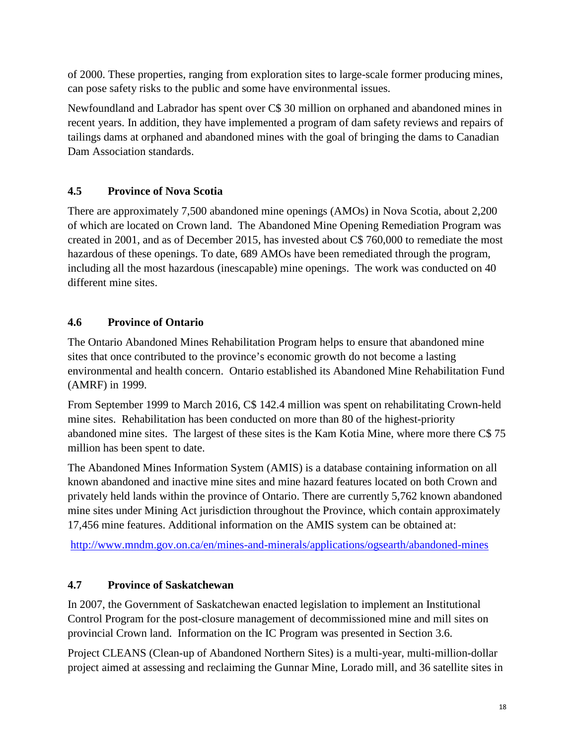of 2000. These properties, ranging from exploration sites to large-scale former producing mines, can pose safety risks to the public and some have environmental issues.

Newfoundland and Labrador has spent over C\$ 30 million on orphaned and abandoned mines in recent years. In addition, they have implemented a program of dam safety reviews and repairs of tailings dams at orphaned and abandoned mines with the goal of bringing the dams to Canadian Dam Association standards.

## **4.5 Province of Nova Scotia**

There are approximately 7,500 abandoned mine openings (AMOs) in Nova Scotia, about 2,200 of which are located on Crown land. The Abandoned Mine Opening Remediation Program was created in 2001, and as of December 2015, has invested about C\$ 760,000 to remediate the most hazardous of these openings. To date, 689 AMOs have been remediated through the program, including all the most hazardous (inescapable) mine openings. The work was conducted on 40 different mine sites.

# **4.6 Province of Ontario**

The Ontario Abandoned Mines Rehabilitation Program helps to ensure that abandoned mine sites that once contributed to the province's economic growth do not become a lasting environmental and health concern. Ontario established its Abandoned Mine Rehabilitation Fund (AMRF) in 1999.

From September 1999 to March 2016, C\$ 142.4 million was spent on rehabilitating Crown-held mine sites. Rehabilitation has been conducted on more than 80 of the highest-priority abandoned mine sites. The largest of these sites is the Kam Kotia Mine, where more there C\$ 75 million has been spent to date.

The Abandoned Mines Information System (AMIS) is a database containing information on all known abandoned and inactive mine sites and mine hazard features located on both Crown and privately held lands within the province of Ontario. There are currently 5,762 known abandoned mine sites under Mining Act jurisdiction throughout the Province, which contain approximately 17,456 mine features. Additional information on the AMIS system can be obtained at:

<http://www.mndm.gov.on.ca/en/mines-and-minerals/applications/ogsearth/abandoned-mines>

# **4.7 Province of Saskatchewan**

In 2007, the Government of Saskatchewan enacted legislation to implement an Institutional Control Program for the post-closure management of decommissioned mine and mill sites on provincial Crown land. Information on the IC Program was presented in Section 3.6.

Project CLEANS (Clean-up of Abandoned Northern Sites) is a multi-year, multi-million-dollar project aimed at assessing and reclaiming the Gunnar Mine, Lorado mill, and 36 satellite sites in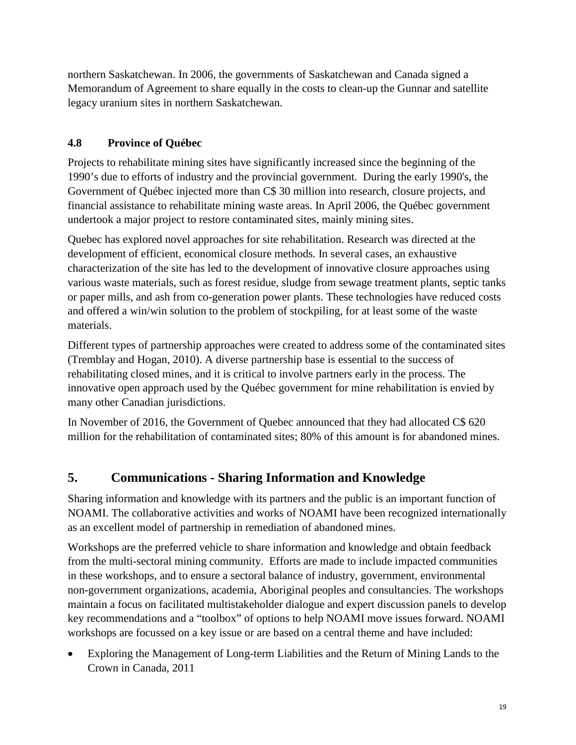northern Saskatchewan. In 2006, the governments of Saskatchewan and Canada signed a Memorandum of Agreement to share equally in the costs to clean-up the Gunnar and satellite legacy uranium sites in northern Saskatchewan.

## **4.8 Province of Québec**

Projects to rehabilitate mining sites have significantly increased since the beginning of the 1990's due to efforts of industry and the provincial government. During the early 1990's, the Government of Québec injected more than C\$ 30 million into research, closure projects, and financial assistance to rehabilitate mining waste areas. In April 2006, the Québec government undertook a major project to restore contaminated sites, mainly mining sites.

Quebec has explored novel approaches for site rehabilitation. Research was directed at the development of efficient, economical closure methods. In several cases, an exhaustive characterization of the site has led to the development of innovative closure approaches using various waste materials, such as forest residue, sludge from sewage treatment plants, septic tanks or paper mills, and ash from co-generation power plants. These technologies have reduced costs and offered a win/win solution to the problem of stockpiling, for at least some of the waste materials.

Different types of partnership approaches were created to address some of the contaminated sites (Tremblay and Hogan, 2010). A diverse partnership base is essential to the success of rehabilitating closed mines, and it is critical to involve partners early in the process. The innovative open approach used by the Québec government for mine rehabilitation is envied by many other Canadian jurisdictions.

In November of 2016, the Government of Quebec announced that they had allocated C\$ 620 million for the rehabilitation of contaminated sites; 80% of this amount is for abandoned mines.

# **5. Communications - Sharing Information and Knowledge**

Sharing information and knowledge with its partners and the public is an important function of NOAMI. The collaborative activities and works of NOAMI have been recognized internationally as an excellent model of partnership in remediation of abandoned mines.

Workshops are the preferred vehicle to share information and knowledge and obtain feedback from the multi-sectoral mining community. Efforts are made to include impacted communities in these workshops, and to ensure a sectoral balance of industry, government, environmental non-government organizations, academia, Aboriginal peoples and consultancies. The workshops maintain a focus on facilitated multistakeholder dialogue and expert discussion panels to develop key recommendations and a "toolbox" of options to help NOAMI move issues forward. NOAMI workshops are focussed on a key issue or are based on a central theme and have included:

• Exploring the Management of Long-term Liabilities and the Return of Mining Lands to the Crown in Canada, 2011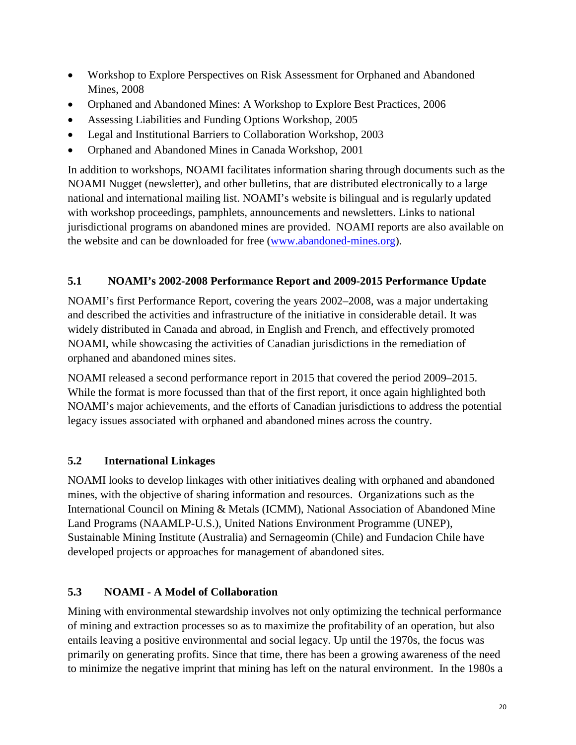- Workshop to Explore Perspectives on Risk Assessment for Orphaned and Abandoned Mines, 2008
- Orphaned and Abandoned Mines: A Workshop to Explore Best Practices, 2006
- Assessing Liabilities and Funding Options Workshop, 2005
- Legal and Institutional Barriers to Collaboration Workshop, 2003
- Orphaned and Abandoned Mines in Canada Workshop, 2001

In addition to workshops, NOAMI facilitates information sharing through documents such as the NOAMI Nugget (newsletter), and other bulletins, that are distributed electronically to a large national and international mailing list. NOAMI's website is bilingual and is regularly updated with workshop proceedings, pamphlets, announcements and newsletters. Links to national jurisdictional programs on abandoned mines are provided. NOAMI reports are also available on the website and can be downloaded for free [\(www.abandoned-mines.org\)](http://www.abandoned-mines.org/).

# **5.1 NOAMI's 2002-2008 Performance Report and 2009-2015 Performance Update**

NOAMI's first Performance Report, covering the years 2002–2008, was a major undertaking and described the activities and infrastructure of the initiative in considerable detail. It was widely distributed in Canada and abroad, in English and French, and effectively promoted NOAMI, while showcasing the activities of Canadian jurisdictions in the remediation of orphaned and abandoned mines sites.

NOAMI released a second performance report in 2015 that covered the period 2009–2015. While the format is more focussed than that of the first report, it once again highlighted both NOAMI's major achievements, and the efforts of Canadian jurisdictions to address the potential legacy issues associated with orphaned and abandoned mines across the country.

## **5.2 International Linkages**

NOAMI looks to develop linkages with other initiatives dealing with orphaned and abandoned mines, with the objective of sharing information and resources. Organizations such as the International Council on Mining & Metals (ICMM), National Association of Abandoned Mine Land Programs (NAAMLP-U.S.), United Nations Environment Programme (UNEP), Sustainable Mining Institute (Australia) and Sernageomin (Chile) and Fundacion Chile have developed projects or approaches for management of abandoned sites.

## **5.3 NOAMI - A Model of Collaboration**

Mining with environmental stewardship involves not only optimizing the technical performance of mining and extraction processes so as to maximize the profitability of an operation, but also entails leaving a positive environmental and social legacy. Up until the 1970s, the focus was primarily on generating profits. Since that time, there has been a growing awareness of the need to minimize the negative imprint that mining has left on the natural environment. In the 1980s a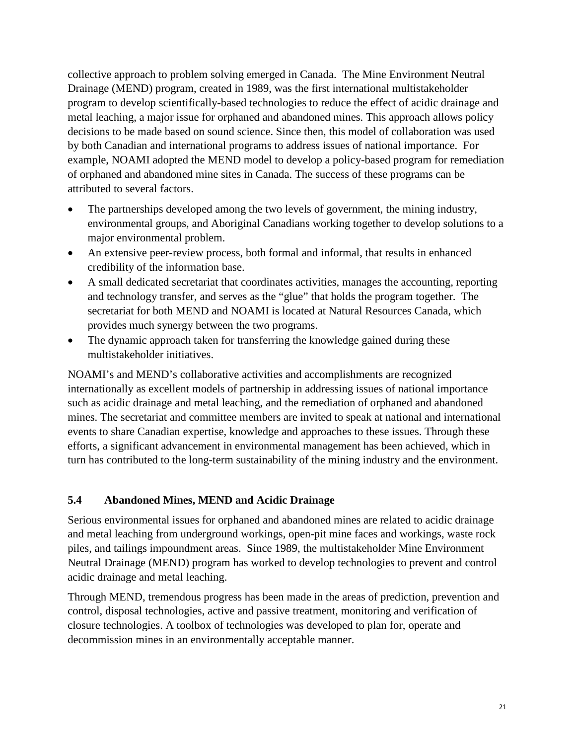collective approach to problem solving emerged in Canada. The Mine Environment Neutral Drainage (MEND) program, created in 1989, was the first international multistakeholder program to develop scientifically-based technologies to reduce the effect of acidic drainage and metal leaching, a major issue for orphaned and abandoned mines. This approach allows policy decisions to be made based on sound science. Since then, this model of collaboration was used by both Canadian and international programs to address issues of national importance. For example, NOAMI adopted the MEND model to develop a policy-based program for remediation of orphaned and abandoned mine sites in Canada. The success of these programs can be attributed to several factors.

- The partnerships developed among the two levels of government, the mining industry, environmental groups, and Aboriginal Canadians working together to develop solutions to a major environmental problem.
- An extensive peer-review process, both formal and informal, that results in enhanced credibility of the information base.
- A small dedicated secretariat that coordinates activities, manages the accounting, reporting and technology transfer, and serves as the "glue" that holds the program together. The secretariat for both MEND and NOAMI is located at Natural Resources Canada, which provides much synergy between the two programs.
- The dynamic approach taken for transferring the knowledge gained during these multistakeholder initiatives.

NOAMI's and MEND's collaborative activities and accomplishments are recognized internationally as excellent models of partnership in addressing issues of national importance such as acidic drainage and metal leaching, and the remediation of orphaned and abandoned mines. The secretariat and committee members are invited to speak at national and international events to share Canadian expertise, knowledge and approaches to these issues. Through these efforts, a significant advancement in environmental management has been achieved, which in turn has contributed to the long-term sustainability of the mining industry and the environment.

#### **5.4 Abandoned Mines, MEND and Acidic Drainage**

Serious environmental issues for orphaned and abandoned mines are related to acidic drainage and metal leaching from underground workings, open-pit mine faces and workings, waste rock piles, and tailings impoundment areas. Since 1989, the multistakeholder Mine Environment Neutral Drainage (MEND) program has worked to develop technologies to prevent and control acidic drainage and metal leaching.

Through MEND, tremendous progress has been made in the areas of prediction, prevention and control, disposal technologies, active and passive treatment, monitoring and verification of closure technologies. A toolbox of technologies was developed to plan for, operate and decommission mines in an environmentally acceptable manner.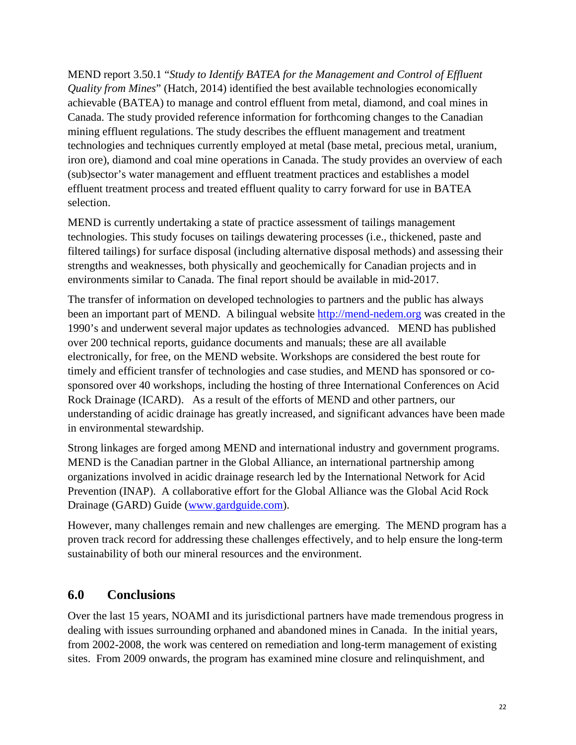MEND report 3.50.1 "*Study to Identify BATEA for the Management and Control of Effluent Quality from Mines*" (Hatch, 2014) identified the best available technologies economically achievable (BATEA) to manage and control effluent from metal, diamond, and coal mines in Canada. The study provided reference information for forthcoming changes to the Canadian mining effluent regulations. The study describes the effluent management and treatment technologies and techniques currently employed at metal (base metal, precious metal, uranium, iron ore), diamond and coal mine operations in Canada. The study provides an overview of each (sub)sector's water management and effluent treatment practices and establishes a model effluent treatment process and treated effluent quality to carry forward for use in BATEA selection.

MEND is currently undertaking a state of practice assessment of tailings management technologies. This study focuses on tailings dewatering processes (i.e., thickened, paste and filtered tailings) for surface disposal (including alternative disposal methods) and assessing their strengths and weaknesses, both physically and geochemically for Canadian projects and in environments similar to Canada. The final report should be available in mid-2017.

The transfer of information on developed technologies to partners and the public has always been an important part of MEND. A bilingual website [http://mend-nedem.org](http://mend-nedem.org/) was created in the 1990's and underwent several major updates as technologies advanced. MEND has published over 200 technical reports, guidance documents and manuals; these are all available electronically, for free, on the MEND website. Workshops are considered the best route for timely and efficient transfer of technologies and case studies, and MEND has sponsored or cosponsored over 40 workshops, including the hosting of three International Conferences on Acid Rock Drainage (ICARD). As a result of the efforts of MEND and other partners, our understanding of acidic drainage has greatly increased, and significant advances have been made in environmental stewardship.

Strong linkages are forged among MEND and international industry and government programs. MEND is the Canadian partner in the Global Alliance, an international partnership among organizations involved in acidic drainage research led by the International Network for Acid Prevention (INAP). A collaborative effort for the Global Alliance was the Global Acid Rock Drainage (GARD) Guide [\(www.gardguide.com\)](http://www.gardguide.com/).

However, many challenges remain and new challenges are emerging. The MEND program has a proven track record for addressing these challenges effectively, and to help ensure the long-term sustainability of both our mineral resources and the environment.

## **6.0 Conclusions**

Over the last 15 years, NOAMI and its jurisdictional partners have made tremendous progress in dealing with issues surrounding orphaned and abandoned mines in Canada. In the initial years, from 2002-2008, the work was centered on remediation and long-term management of existing sites. From 2009 onwards, the program has examined mine closure and relinquishment, and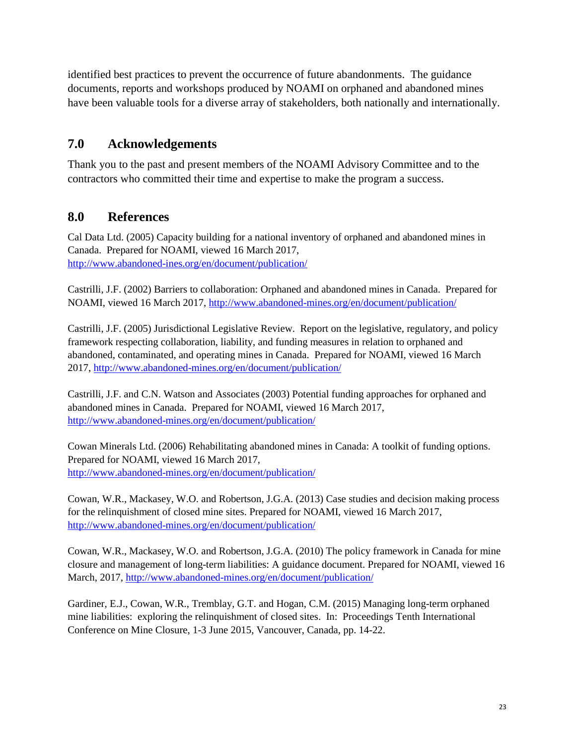identified best practices to prevent the occurrence of future abandonments. The guidance documents, reports and workshops produced by NOAMI on orphaned and abandoned mines have been valuable tools for a diverse array of stakeholders, both nationally and internationally.

# **7.0 Acknowledgements**

Thank you to the past and present members of the NOAMI Advisory Committee and to the contractors who committed their time and expertise to make the program a success.

# **8.0 References**

Cal Data Ltd. (2005) Capacity building for a national inventory of orphaned and abandoned mines in Canada. Prepared for NOAMI, viewed 16 March 2017, <http://www.abandoned-ines.org/en/document/publication/>

Castrilli, J.F. (2002) Barriers to collaboration: Orphaned and abandoned mines in Canada. Prepared for NOAMI, viewed 16 March 2017,<http://www.abandoned-mines.org/en/document/publication/>

Castrilli, J.F. (2005) Jurisdictional Legislative Review. Report on the legislative, regulatory, and policy framework respecting collaboration, liability, and funding measures in relation to orphaned and abandoned, contaminated, and operating mines in Canada. Prepared for NOAMI, viewed 16 March 2017, <http://www.abandoned-mines.org/en/document/publication/>

Castrilli, J.F. and C.N. Watson and Associates (2003) Potential funding approaches for orphaned and abandoned mines in Canada. Prepared for NOAMI, viewed 16 March 2017, <http://www.abandoned-mines.org/en/document/publication/>

Cowan Minerals Ltd. (2006) Rehabilitating abandoned mines in Canada: A toolkit of funding options. Prepared for NOAMI, viewed 16 March 2017, <http://www.abandoned-mines.org/en/document/publication/>

Cowan, W.R., Mackasey, W.O. and Robertson, J.G.A. (2013) Case studies and decision making process for the relinquishment of closed mine sites. Prepared for NOAMI, viewed 16 March 2017, <http://www.abandoned-mines.org/en/document/publication/>

Cowan, W.R., Mackasey, W.O. and Robertson, J.G.A. (2010) The policy framework in Canada for mine closure and management of long-term liabilities: A guidance document. Prepared for NOAMI, viewed 16 March, 2017, <http://www.abandoned-mines.org/en/document/publication/>

Gardiner, E.J., Cowan, W.R., Tremblay, G.T. and Hogan, C.M. (2015) Managing long-term orphaned mine liabilities: exploring the relinquishment of closed sites. In: Proceedings Tenth International Conference on Mine Closure, 1-3 June 2015, Vancouver, Canada, pp. 14-22.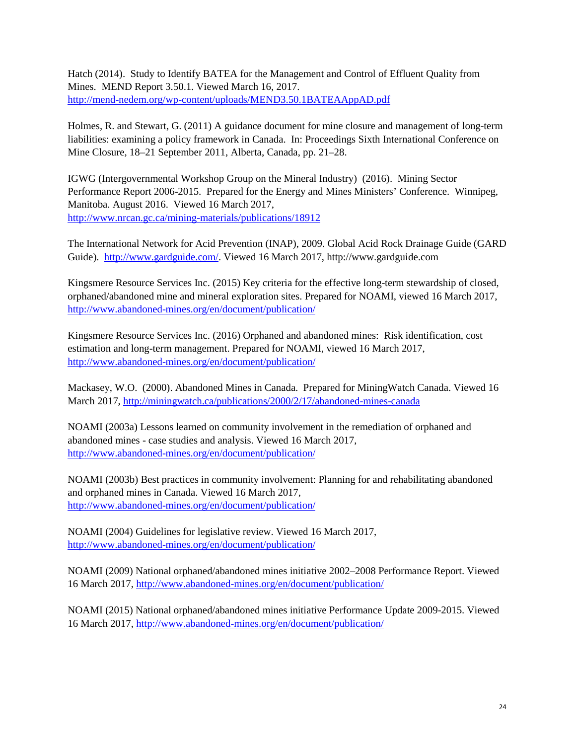Hatch (2014). Study to Identify BATEA for the Management and Control of Effluent Quality from Mines. MEND Report 3.50.1. Viewed March 16, 2017. <http://mend-nedem.org/wp-content/uploads/MEND3.50.1BATEAAppAD.pdf>

Holmes, R. and Stewart, G. (2011) A guidance document for mine closure and management of long-term liabilities: examining a policy framework in Canada. In: Proceedings Sixth International Conference on Mine Closure, 18–21 September 2011, Alberta, Canada, pp. 21–28.

IGWG (Intergovernmental Workshop Group on the Mineral Industry) (2016). Mining Sector Performance Report 2006-2015. Prepared for the Energy and Mines Ministers' Conference. Winnipeg, Manitoba. August 2016. Viewed 16 March 2017, <http://www.nrcan.gc.ca/mining-materials/publications/18912>

The International Network for Acid Prevention (INAP), 2009. Global Acid Rock Drainage Guide (GARD Guide). [http://www.gardguide.com/.](http://www.gardguide.com/) Viewed 16 March 2017, http://www.gardguide.com

Kingsmere Resource Services Inc. (2015) Key criteria for the effective long-term stewardship of closed, orphaned/abandoned mine and mineral exploration sites. Prepared for NOAMI, viewed 16 March 2017, <http://www.abandoned-mines.org/en/document/publication/>

Kingsmere Resource Services Inc. (2016) Orphaned and abandoned mines: Risk identification, cost estimation and long-term management. Prepared for NOAMI, viewed 16 March 2017, <http://www.abandoned-mines.org/en/document/publication/>

Mackasey, W.O. (2000). Abandoned Mines in Canada. Prepared for MiningWatch Canada. Viewed 16 March 2017,<http://miningwatch.ca/publications/2000/2/17/abandoned-mines-canada>

NOAMI (2003a) Lessons learned on community involvement in the remediation of orphaned and abandoned mines - case studies and analysis. Viewed 16 March 2017, <http://www.abandoned-mines.org/en/document/publication/>

NOAMI (2003b) Best practices in community involvement: Planning for and rehabilitating abandoned and orphaned mines in Canada. Viewed 16 March 2017, <http://www.abandoned-mines.org/en/document/publication/>

NOAMI (2004) Guidelines for legislative review. Viewed 16 March 2017, <http://www.abandoned-mines.org/en/document/publication/>

NOAMI (2009) National orphaned/abandoned mines initiative 2002–2008 Performance Report. Viewed 16 March 2017[, http://www.abandoned-mines.org/en/document/publication/](http://www.abandoned-mines.org/en/document/publication/)

NOAMI (2015) National orphaned/abandoned mines initiative Performance Update 2009-2015. Viewed 16 March 2017[, http://www.abandoned-mines.org/en/document/publication/](http://www.abandoned-mines.org/en/document/publication/)